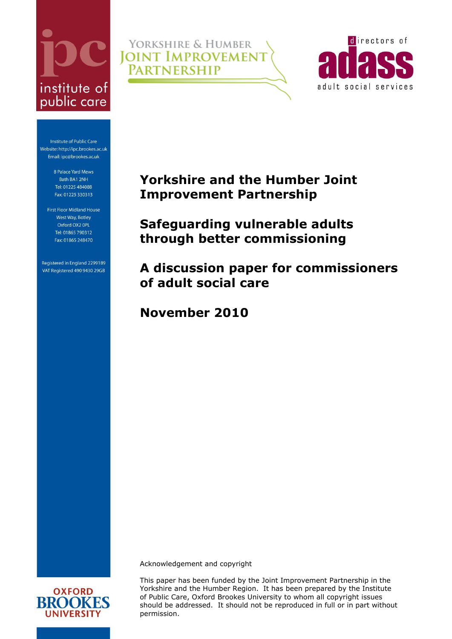# institute of public care

YORKSHIRE & HUMBER **JOINT IMPROVEMENT** 



Institute of Public Care Website: http://ipc.brookes.ac.uk Email: ipc@brookes.ac.uk

> 8 Palace Yard Mews Bath BA1 2NH Tel: 01225 484088 Fax: 01225 330313

First Floor Midland House West Way, Botley Oxford OX2 OPL Tel: 01865 790312 Fax: 01865 248470

Registered in England 2299189 VAT Registered 490 9430 29GB **Yorkshire and the Humber Joint Improvement Partnership**

<span id="page-0-0"></span>**Safeguarding vulnerable adults through better commissioning**

**A discussion paper for commissioners of adult social care**

**November 2010**

**PARTNERSHIP** 

Acknowledgement and copyright

This paper has been funded by the Joint Improvement Partnership in the Yorkshire and the Humber Region. It has been prepared by the Institute of Public Care, Oxford Brookes University to whom all copyright issues should be addressed. It should not be reproduced in full or in part without permission.

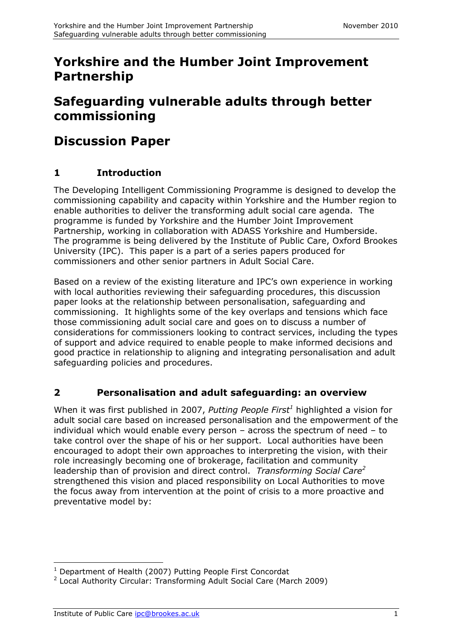# **Yorkshire and the Humber Joint Improvement Partnership**

# **[Safeguarding vulnerable adults through better](#page-0-0)  [commissioning](#page-0-0)**

# **Discussion Paper**

## **1 Introduction**

The Developing Intelligent Commissioning Programme is designed to develop the commissioning capability and capacity within Yorkshire and the Humber region to enable authorities to deliver the transforming adult social care agenda. The programme is funded by Yorkshire and the Humber Joint Improvement Partnership, working in collaboration with ADASS Yorkshire and Humberside. The programme is being delivered by the Institute of Public Care, Oxford Brookes University (IPC). This paper is a part of a series papers produced for commissioners and other senior partners in Adult Social Care.

Based on a review of the existing literature and IPC's own experience in working with local authorities reviewing their safeguarding procedures, this discussion paper looks at the relationship between personalisation, safeguarding and commissioning. It highlights some of the key overlaps and tensions which face those commissioning adult social care and goes on to discuss a number of considerations for commissioners looking to contract services, including the types of support and advice required to enable people to make informed decisions and good practice in relationship to aligning and integrating personalisation and adult safeguarding policies and procedures.

## **2 Personalisation and adult safeguarding: an overview**

When it was first published in 2007, *Putting People First<sup>1</sup>* highlighted a vision for adult social care based on increased personalisation and the empowerment of the individual which would enable every person – across the spectrum of need – to take control over the shape of his or her support. Local authorities have been encouraged to adopt their own approaches to interpreting the vision, with their role increasingly becoming one of brokerage, facilitation and community leadership than of provision and direct control. *Transforming Social Care<sup>2</sup>* strengthened this vision and placed responsibility on Local Authorities to move the focus away from intervention at the point of crisis to a more proactive and preventative model by:

 $\overline{a}$ <sup>1</sup> Department of Health (2007) Putting People First Concordat

<sup>&</sup>lt;sup>2</sup> Local Authority Circular: Transforming Adult Social Care (March 2009)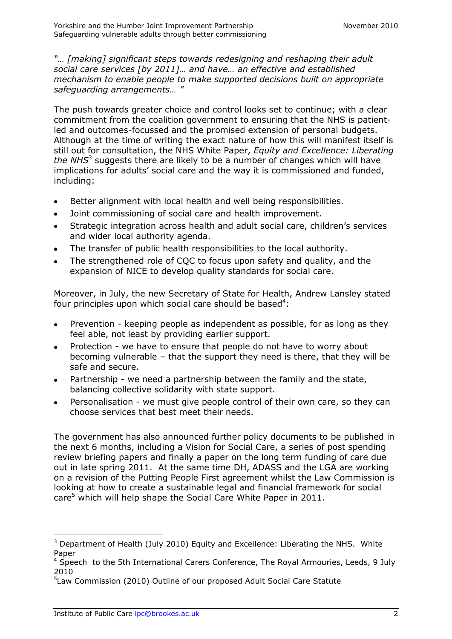*"… [making] significant steps towards redesigning and reshaping their adult social care services [by 2011]… and have… an effective and established mechanism to enable people to make supported decisions built on appropriate safeguarding arrangements… "*

The push towards greater choice and control looks set to continue; with a clear commitment from the coalition government to ensuring that the NHS is patientled and outcomes-focussed and the promised extension of personal budgets. Although at the time of writing the exact nature of how this will manifest itself is still out for consultation, the NHS White Paper, *Equity and Excellence: Liberating*  the NHS<sup>3</sup> suggests there are likely to be a number of changes which will have implications for adults' social care and the way it is commissioned and funded, including:

- Better alignment with local health and well being responsibilities.  $\bullet$
- Joint commissioning of social care and health improvement.  $\bullet$
- Strategic integration across health and adult social care, children's services  $\bullet$ and wider local authority agenda.
- The transfer of public health responsibilities to the local authority.
- The strengthened role of CQC to focus upon safety and quality, and the  $\bullet$ expansion of NICE to develop quality standards for social care.

Moreover, in July, the new Secretary of State for Health, Andrew Lansley stated four principles upon which social care should be based<sup>4</sup>:

- Prevention keeping people as independent as possible, for as long as they  $\bullet$ feel able, not least by providing earlier support.
- Protection we have to ensure that people do not have to worry about becoming vulnerable – that the support they need is there, that they will be safe and secure.
- Partnership we need a partnership between the family and the state,  $\bullet$ balancing collective solidarity with state support.
- Personalisation we must give people control of their own care, so they can choose services that best meet their needs.

The government has also announced further policy documents to be published in the next 6 months, including a Vision for Social Care, a series of post spending review briefing papers and finally a paper on the long term funding of care due out in late spring 2011. At the same time DH, ADASS and the LGA are working on a revision of the Putting People First agreement whilst the Law Commission is looking at how to create a sustainable legal and financial framework for social care<sup>5</sup> which will help shape the Social Care White Paper in 2011.

-

 $3$  Department of Health (July 2010) Equity and Excellence: Liberating the NHS. White Paper

<sup>&</sup>lt;sup>4</sup> Speech to the 5th International Carers Conference, The Royal Armouries, Leeds, 9 July 2010

<sup>&</sup>lt;sup>5</sup>Law Commission (2010) Outline of our proposed Adult Social Care Statute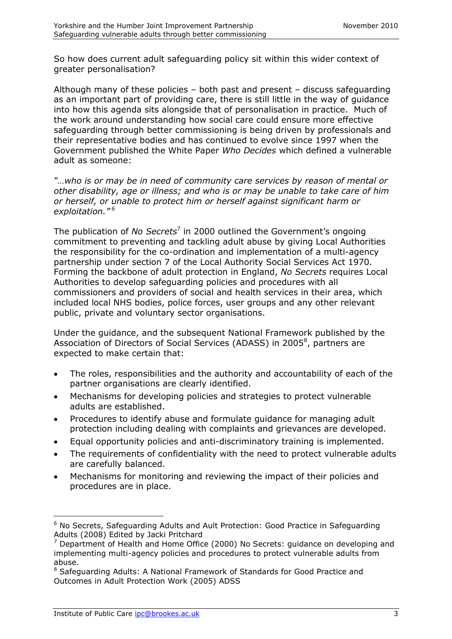So how does current adult safeguarding policy sit within this wider context of greater personalisation?

Although many of these policies – both past and present – discuss safeguarding as an important part of providing care, there is still little in the way of guidance into how this agenda sits alongside that of personalisation in practice. Much of the work around understanding how social care could ensure more effective safeguarding through better commissioning is being driven by professionals and their representative bodies and has continued to evolve since 1997 when the Government published the White Paper *Who Decides* which defined a vulnerable adult as someone:

*"…who is or may be in need of community care services by reason of mental or other disability, age or illness; and who is or may be unable to take care of him or herself, or unable to protect him or herself against significant harm or exploitation." <sup>6</sup>*

The publication of *No Secrets*<sup>7</sup> in 2000 outlined the Government's ongoing commitment to preventing and tackling adult abuse by giving Local Authorities the responsibility for the co-ordination and implementation of a multi-agency partnership under section 7 of the Local Authority Social Services Act 1970. Forming the backbone of adult protection in England, *No Secrets* requires Local Authorities to develop safeguarding policies and procedures with all commissioners and providers of social and health services in their area, which included local NHS bodies, police forces, user groups and any other relevant public, private and voluntary sector organisations.

Under the guidance, and the subsequent National Framework published by the Association of Directors of Social Services (ADASS) in 2005<sup>8</sup>, partners are expected to make certain that:

- The roles, responsibilities and the authority and accountability of each of the  $\bullet$ partner organisations are clearly identified.
- Mechanisms for developing policies and strategies to protect vulnerable adults are established.
- Procedures to identify abuse and formulate guidance for managing adult  $\bullet$ protection including dealing with complaints and grievances are developed.
- Equal opportunity policies and anti-discriminatory training is implemented.  $\bullet$
- The requirements of confidentiality with the need to protect vulnerable adults are carefully balanced.
- Mechanisms for monitoring and reviewing the impact of their policies and  $\bullet$ procedures are in place.

-

 $6$  No Secrets, Safeguarding Adults and Ault Protection: Good Practice in Safeguarding Adults (2008) Edited by Jacki Pritchard

 $7$  Department of Health and Home Office (2000) No Secrets: guidance on developing and implementing multi-agency policies and procedures to protect vulnerable adults from abuse.

<sup>&</sup>lt;sup>8</sup> Safeguarding Adults: A National Framework of Standards for Good Practice and Outcomes in Adult Protection Work (2005) ADSS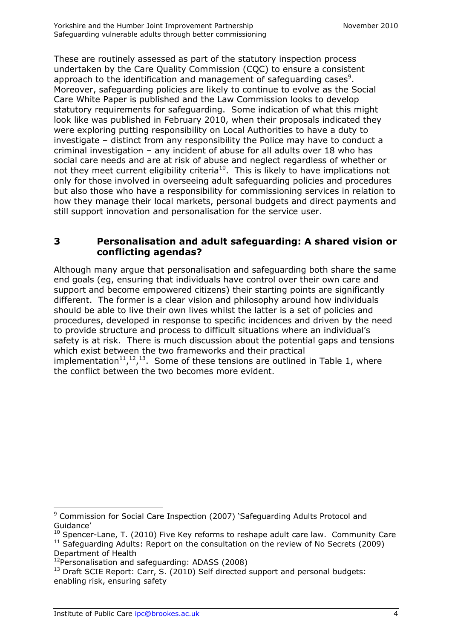These are routinely assessed as part of the statutory inspection process undertaken by the Care Quality Commission (CQC) to ensure a consistent approach to the identification and management of safeguarding cases $^9$ . Moreover, safeguarding policies are likely to continue to evolve as the Social Care White Paper is published and the Law Commission looks to develop statutory requirements for safeguarding. Some indication of what this might look like was published in February 2010, when their proposals indicated they were exploring putting responsibility on Local Authorities to have a duty to investigate – distinct from any responsibility the Police may have to conduct a criminal investigation – any incident of abuse for all adults over 18 who has social care needs and are at risk of abuse and neglect regardless of whether or not they meet current eligibility criteria<sup>10</sup>. This is likely to have implications not only for those involved in overseeing adult safeguarding policies and procedures but also those who have a responsibility for commissioning services in relation to how they manage their local markets, personal budgets and direct payments and still support innovation and personalisation for the service user.

#### **3 Personalisation and adult safeguarding: A shared vision or conflicting agendas?**

Although many argue that personalisation and safeguarding both share the same end goals (eg, ensuring that individuals have control over their own care and support and become empowered citizens) their starting points are significantly different. The former is a clear vision and philosophy around how individuals should be able to live their own lives whilst the latter is a set of policies and procedures, developed in response to specific incidences and driven by the need to provide structure and process to difficult situations where an individual's safety is at risk. There is much discussion about the potential gaps and tensions which exist between the two frameworks and their practical implementation<sup>11</sup>,<sup>12</sup>,<sup>13</sup>. Some of these tensions are outlined in Table 1, where the conflict between the two becomes more evident.

<sup>-</sup><sup>9</sup> Commission for Social Care Inspection (2007) 'Safeguarding Adults Protocol and Guidance'

 $10$  Spencer-Lane, T. (2010) Five Key reforms to reshape adult care law. Community Care  $11$  Safeguarding Adults: Report on the consultation on the review of No Secrets (2009) Department of Health

<sup>12</sup>Personalisation and safeguarding: ADASS (2008)

<sup>&</sup>lt;sup>13</sup> Draft SCIE Report: Carr, S. (2010) Self directed support and personal budgets: enabling risk, ensuring safety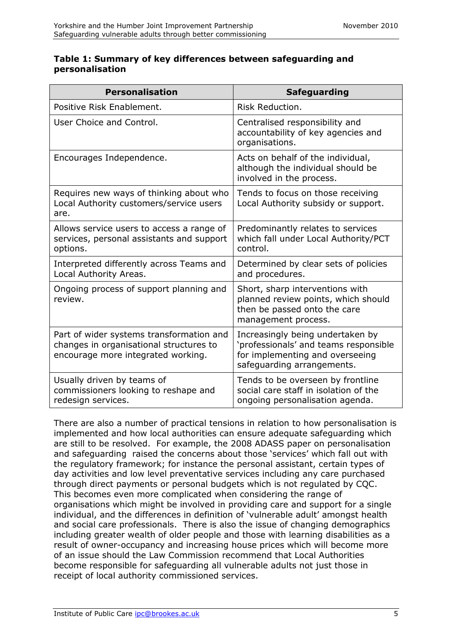#### **Table 1: Summary of key differences between safeguarding and personalisation**

| <b>Personalisation</b>                                                                                                    | <b>Safeguarding</b>                                                                                                                        |
|---------------------------------------------------------------------------------------------------------------------------|--------------------------------------------------------------------------------------------------------------------------------------------|
| Positive Risk Enablement.                                                                                                 | Risk Reduction.                                                                                                                            |
| User Choice and Control.                                                                                                  | Centralised responsibility and<br>accountability of key agencies and<br>organisations.                                                     |
| Encourages Independence.                                                                                                  | Acts on behalf of the individual,<br>although the individual should be<br>involved in the process.                                         |
| Requires new ways of thinking about who<br>Local Authority customers/service users<br>are.                                | Tends to focus on those receiving<br>Local Authority subsidy or support.                                                                   |
| Allows service users to access a range of<br>services, personal assistants and support<br>options.                        | Predominantly relates to services<br>which fall under Local Authority/PCT<br>control.                                                      |
| Interpreted differently across Teams and<br>Local Authority Areas.                                                        | Determined by clear sets of policies<br>and procedures.                                                                                    |
| Ongoing process of support planning and<br>review.                                                                        | Short, sharp interventions with<br>planned review points, which should<br>then be passed onto the care<br>management process.              |
| Part of wider systems transformation and<br>changes in organisational structures to<br>encourage more integrated working. | Increasingly being undertaken by<br>'professionals' and teams responsible<br>for implementing and overseeing<br>safeguarding arrangements. |
| Usually driven by teams of<br>commissioners looking to reshape and<br>redesign services.                                  | Tends to be overseen by frontline<br>social care staff in isolation of the<br>ongoing personalisation agenda.                              |

There are also a number of practical tensions in relation to how personalisation is implemented and how local authorities can ensure adequate safeguarding which are still to be resolved. For example, the 2008 ADASS paper on personalisation and safeguarding raised the concerns about those 'services' which fall out with the regulatory framework; for instance the personal assistant, certain types of day activities and low level preventative services including any care purchased through direct payments or personal budgets which is not regulated by CQC. This becomes even more complicated when considering the range of organisations which might be involved in providing care and support for a single individual, and the differences in definition of 'vulnerable adult' amongst health and social care professionals. There is also the issue of changing demographics including greater wealth of older people and those with learning disabilities as a result of owner-occupancy and increasing house prices which will become more of an issue should the Law Commission recommend that Local Authorities become responsible for safeguarding all vulnerable adults not just those in receipt of local authority commissioned services.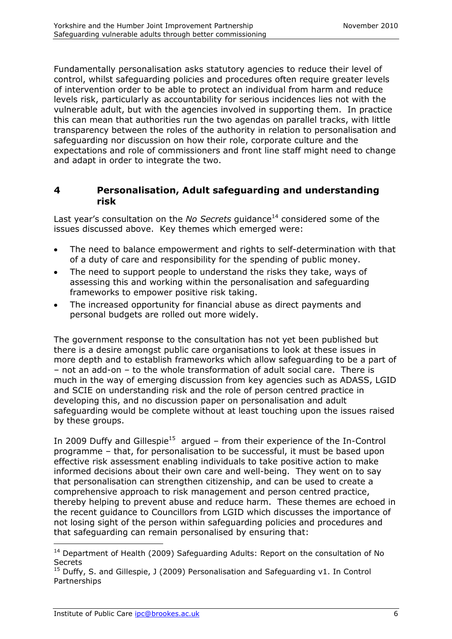Fundamentally personalisation asks statutory agencies to reduce their level of control, whilst safeguarding policies and procedures often require greater levels of intervention order to be able to protect an individual from harm and reduce levels risk, particularly as accountability for serious incidences lies not with the vulnerable adult, but with the agencies involved in supporting them. In practice this can mean that authorities run the two agendas on parallel tracks, with little transparency between the roles of the authority in relation to personalisation and safeguarding nor discussion on how their role, corporate culture and the expectations and role of commissioners and front line staff might need to change and adapt in order to integrate the two.

#### **4 Personalisation, Adult safeguarding and understanding risk**

Last year's consultation on the *No Secrets* guidance<sup>14</sup> considered some of the issues discussed above. Key themes which emerged were:

- The need to balance empowerment and rights to self-determination with that of a duty of care and responsibility for the spending of public money.
- The need to support people to understand the risks they take, ways of  $\bullet$ assessing this and working within the personalisation and safeguarding frameworks to empower positive risk taking.
- The increased opportunity for financial abuse as direct payments and  $\bullet$ personal budgets are rolled out more widely.

The government response to the consultation has not yet been published but there is a desire amongst public care organisations to look at these issues in more depth and to establish frameworks which allow safeguarding to be a part of – not an add-on – to the whole transformation of adult social care. There is much in the way of emerging discussion from key agencies such as ADASS, LGID and SCIE on understanding risk and the role of person centred practice in developing this, and no discussion paper on personalisation and adult safeguarding would be complete without at least touching upon the issues raised by these groups.

In 2009 Duffy and Gillespie<sup>15</sup> argued  $-$  from their experience of the In-Control programme – that, for personalisation to be successful, it must be based upon effective risk assessment enabling individuals to take positive action to make informed decisions about their own care and well-being. They went on to say that personalisation can strengthen citizenship, and can be used to create a comprehensive approach to risk management and person centred practice, thereby helping to prevent abuse and reduce harm. These themes are echoed in the recent guidance to Councillors from LGID which discusses the importance of not losing sight of the person within safeguarding policies and procedures and that safeguarding can remain personalised by ensuring that:

 $\overline{a}$ 

 $14$  Department of Health (2009) Safeguarding Adults: Report on the consultation of No **Secrets** 

 $15$  Duffy, S. and Gillespie, J (2009) Personalisation and Safeguarding v1. In Control Partnerships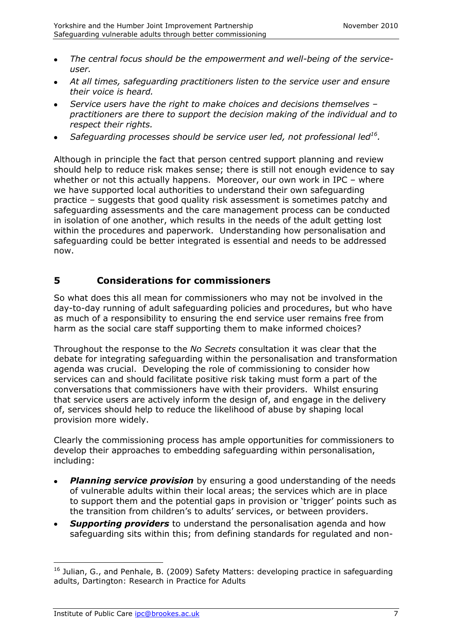- *The central focus should be the empowerment and well-being of the service-* $\bullet$ *user.*
- *At all times, safeguarding practitioners listen to the service user and ensure*   $\bullet$ *their voice is heard.*
- *Service users have the right to make choices and decisions themselves – practitioners are there to support the decision making of the individual and to respect their rights.*
- *Safeguarding processes should be service user led, not professional led<sup>16</sup> .*

Although in principle the fact that person centred support planning and review should help to reduce risk makes sense; there is still not enough evidence to say whether or not this actually happens. Moreover, our own work in IPC - where we have supported local authorities to understand their own safeguarding practice – suggests that good quality risk assessment is sometimes patchy and safeguarding assessments and the care management process can be conducted in isolation of one another, which results in the needs of the adult getting lost within the procedures and paperwork. Understanding how personalisation and safeguarding could be better integrated is essential and needs to be addressed now.

#### **5 Considerations for commissioners**

So what does this all mean for commissioners who may not be involved in the day-to-day running of adult safeguarding policies and procedures, but who have as much of a responsibility to ensuring the end service user remains free from harm as the social care staff supporting them to make informed choices?

Throughout the response to the *No Secrets* consultation it was clear that the debate for integrating safeguarding within the personalisation and transformation agenda was crucial. Developing the role of commissioning to consider how services can and should facilitate positive risk taking must form a part of the conversations that commissioners have with their providers. Whilst ensuring that service users are actively inform the design of, and engage in the delivery of, services should help to reduce the likelihood of abuse by shaping local provision more widely.

Clearly the commissioning process has ample opportunities for commissioners to develop their approaches to embedding safeguarding within personalisation, including:

- **Planning service provision** by ensuring a good understanding of the needs of vulnerable adults within their local areas; the services which are in place to support them and the potential gaps in provision or 'trigger' points such as the transition from children's to adults' services, or between providers.
- **Supporting providers** to understand the personalisation agenda and how safeguarding sits within this; from defining standards for regulated and non-

 $\overline{a}$ 

<sup>&</sup>lt;sup>16</sup> Julian, G., and Penhale, B. (2009) Safety Matters: developing practice in safeguarding adults, Dartington: Research in Practice for Adults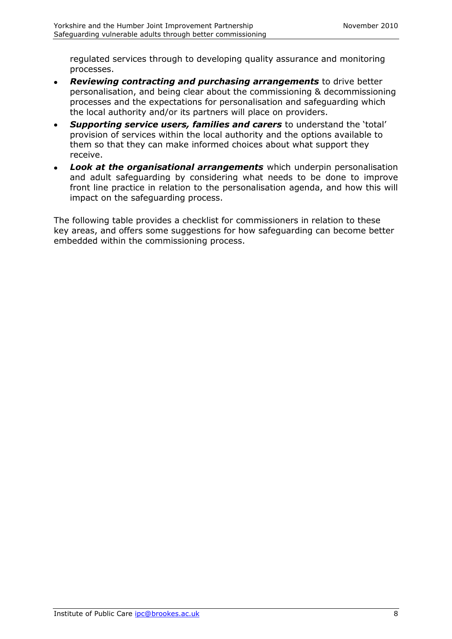regulated services through to developing quality assurance and monitoring processes.

- *Reviewing contracting and purchasing arrangements* to drive better  $\bullet$ personalisation, and being clear about the commissioning & decommissioning processes and the expectations for personalisation and safeguarding which the local authority and/or its partners will place on providers.
- *Supporting service users, families and carers* to understand the 'total' provision of services within the local authority and the options available to them so that they can make informed choices about what support they receive.
- *Look at the organisational arrangements* which underpin personalisation and adult safeguarding by considering what needs to be done to improve front line practice in relation to the personalisation agenda, and how this will impact on the safeguarding process.

The following table provides a checklist for commissioners in relation to these key areas, and offers some suggestions for how safeguarding can become better embedded within the commissioning process.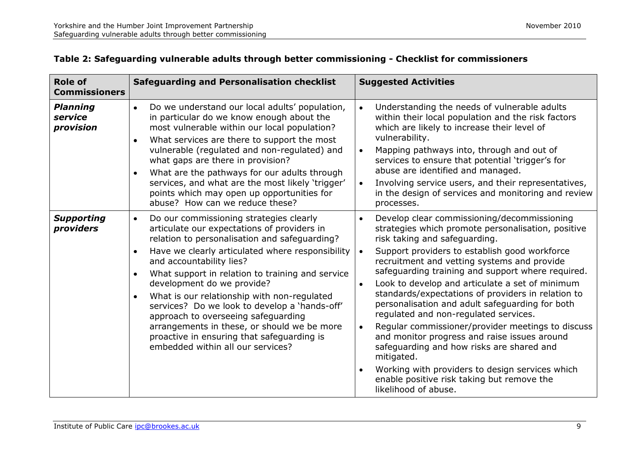| <b>Role of</b><br><b>Commissioners</b>  | <b>Safeguarding and Personalisation checklist</b>                                                                                                                                                                                                                                                                                                                                                                                                                                                                                                                                                                                      | <b>Suggested Activities</b>                                                                                                                                                                                                                                                                                                                                                                                                                                                                                                                                                                                                                                                                                                                                                                                                                            |
|-----------------------------------------|----------------------------------------------------------------------------------------------------------------------------------------------------------------------------------------------------------------------------------------------------------------------------------------------------------------------------------------------------------------------------------------------------------------------------------------------------------------------------------------------------------------------------------------------------------------------------------------------------------------------------------------|--------------------------------------------------------------------------------------------------------------------------------------------------------------------------------------------------------------------------------------------------------------------------------------------------------------------------------------------------------------------------------------------------------------------------------------------------------------------------------------------------------------------------------------------------------------------------------------------------------------------------------------------------------------------------------------------------------------------------------------------------------------------------------------------------------------------------------------------------------|
| <b>Planning</b><br>service<br>provision | Do we understand our local adults' population,<br>$\bullet$<br>in particular do we know enough about the<br>most vulnerable within our local population?<br>What services are there to support the most<br>$\bullet$<br>vulnerable (regulated and non-regulated) and<br>what gaps are there in provision?<br>What are the pathways for our adults through<br>$\bullet$<br>services, and what are the most likely 'trigger'<br>points which may open up opportunities for<br>abuse? How can we reduce these?                                                                                                                            | Understanding the needs of vulnerable adults<br>$\bullet$<br>within their local population and the risk factors<br>which are likely to increase their level of<br>vulnerability.<br>Mapping pathways into, through and out of<br>$\bullet$<br>services to ensure that potential 'trigger's for<br>abuse are identified and managed.<br>Involving service users, and their representatives,<br>$\bullet$<br>in the design of services and monitoring and review<br>processes.                                                                                                                                                                                                                                                                                                                                                                           |
| <b>Supporting</b><br>providers          | Do our commissioning strategies clearly<br>$\bullet$<br>articulate our expectations of providers in<br>relation to personalisation and safeguarding?<br>Have we clearly articulated where responsibility<br>$\bullet$<br>and accountability lies?<br>What support in relation to training and service<br>$\bullet$<br>development do we provide?<br>What is our relationship with non-regulated<br>$\bullet$<br>services? Do we look to develop a 'hands-off'<br>approach to overseeing safeguarding<br>arrangements in these, or should we be more<br>proactive in ensuring that safeguarding is<br>embedded within all our services? | Develop clear commissioning/decommissioning<br>$\bullet$<br>strategies which promote personalisation, positive<br>risk taking and safeguarding.<br>Support providers to establish good workforce<br>$\bullet$<br>recruitment and vetting systems and provide<br>safeguarding training and support where required.<br>Look to develop and articulate a set of minimum<br>$\bullet$<br>standards/expectations of providers in relation to<br>personalisation and adult safeguarding for both<br>regulated and non-regulated services.<br>Regular commissioner/provider meetings to discuss<br>$\bullet$<br>and monitor progress and raise issues around<br>safeguarding and how risks are shared and<br>mitigated.<br>Working with providers to design services which<br>$\bullet$<br>enable positive risk taking but remove the<br>likelihood of abuse. |

#### **Table 2: Safeguarding vulnerable adults through better commissioning - Checklist for commissioners**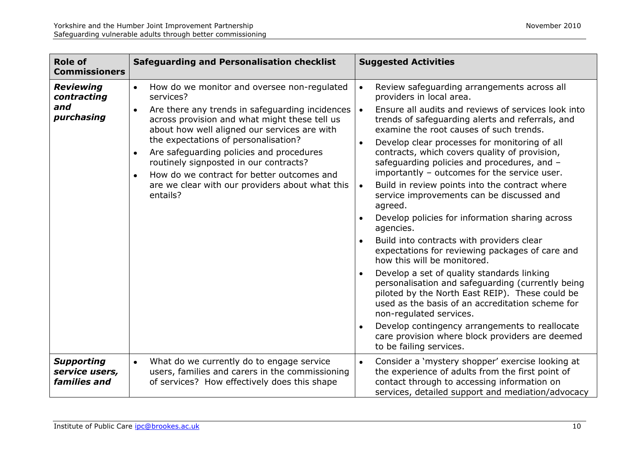| <b>Role of</b><br><b>Commissioners</b>               | <b>Safeguarding and Personalisation checklist</b>                                                                                                                                                                                                                                                                                                                                                                                                                                                           | <b>Suggested Activities</b>                                                                                                                                                                                                                                                                                                                                                                                                                                                                                                                                                                                                                                                                                                                                                                                                                                                                                                                                                                                                                                                                                                                                                   |
|------------------------------------------------------|-------------------------------------------------------------------------------------------------------------------------------------------------------------------------------------------------------------------------------------------------------------------------------------------------------------------------------------------------------------------------------------------------------------------------------------------------------------------------------------------------------------|-------------------------------------------------------------------------------------------------------------------------------------------------------------------------------------------------------------------------------------------------------------------------------------------------------------------------------------------------------------------------------------------------------------------------------------------------------------------------------------------------------------------------------------------------------------------------------------------------------------------------------------------------------------------------------------------------------------------------------------------------------------------------------------------------------------------------------------------------------------------------------------------------------------------------------------------------------------------------------------------------------------------------------------------------------------------------------------------------------------------------------------------------------------------------------|
| <b>Reviewing</b><br>contracting<br>and<br>purchasing | How do we monitor and oversee non-regulated<br>$\bullet$<br>services?<br>Are there any trends in safeguarding incidences<br>$\bullet$<br>across provision and what might these tell us<br>about how well aligned our services are with<br>the expectations of personalisation?<br>Are safeguarding policies and procedures<br>$\bullet$<br>routinely signposted in our contracts?<br>How do we contract for better outcomes and<br>$\bullet$<br>are we clear with our providers about what this<br>entails? | Review safeguarding arrangements across all<br>$\bullet$<br>providers in local area.<br>Ensure all audits and reviews of services look into<br>trends of safeguarding alerts and referrals, and<br>examine the root causes of such trends.<br>Develop clear processes for monitoring of all<br>$\bullet$<br>contracts, which covers quality of provision,<br>safeguarding policies and procedures, and -<br>importantly - outcomes for the service user.<br>Build in review points into the contract where<br>$\bullet$<br>service improvements can be discussed and<br>agreed.<br>Develop policies for information sharing across<br>$\bullet$<br>agencies.<br>Build into contracts with providers clear<br>expectations for reviewing packages of care and<br>how this will be monitored.<br>Develop a set of quality standards linking<br>personalisation and safeguarding (currently being<br>piloted by the North East REIP). These could be<br>used as the basis of an accreditation scheme for<br>non-regulated services.<br>Develop contingency arrangements to reallocate<br>$\bullet$<br>care provision where block providers are deemed<br>to be failing services. |
| <b>Supporting</b><br>service users,<br>families and  | What do we currently do to engage service<br>$\bullet$<br>users, families and carers in the commissioning<br>of services? How effectively does this shape                                                                                                                                                                                                                                                                                                                                                   | Consider a 'mystery shopper' exercise looking at<br>the experience of adults from the first point of<br>contact through to accessing information on<br>services, detailed support and mediation/advocacy                                                                                                                                                                                                                                                                                                                                                                                                                                                                                                                                                                                                                                                                                                                                                                                                                                                                                                                                                                      |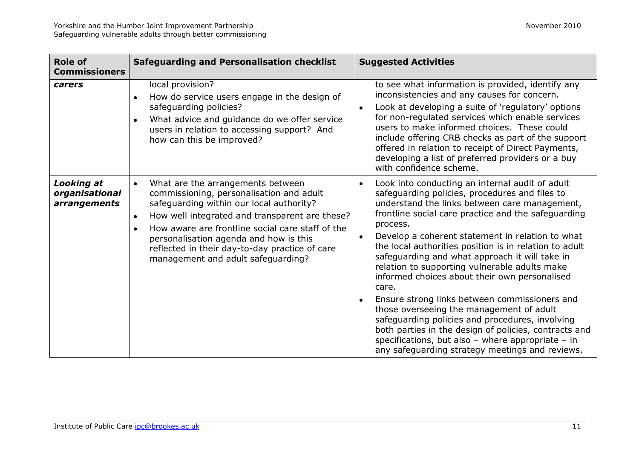| <b>Role of</b><br><b>Commissioners</b>              | <b>Safeguarding and Personalisation checklist</b>                                                                                                                                                                                                                                                                                                                                                        | <b>Suggested Activities</b>                                                                                                                                                                                                                                                                                                                                                                                                                                                                                                                                                                                                                                                                                                                                                                                                                 |
|-----------------------------------------------------|----------------------------------------------------------------------------------------------------------------------------------------------------------------------------------------------------------------------------------------------------------------------------------------------------------------------------------------------------------------------------------------------------------|---------------------------------------------------------------------------------------------------------------------------------------------------------------------------------------------------------------------------------------------------------------------------------------------------------------------------------------------------------------------------------------------------------------------------------------------------------------------------------------------------------------------------------------------------------------------------------------------------------------------------------------------------------------------------------------------------------------------------------------------------------------------------------------------------------------------------------------------|
| carers                                              | local provision?<br>How do service users engage in the design of<br>$\bullet$<br>safeguarding policies?<br>What advice and guidance do we offer service<br>$\bullet$<br>users in relation to accessing support? And<br>how can this be improved?                                                                                                                                                         | to see what information is provided, identify any<br>inconsistencies and any causes for concern.<br>Look at developing a suite of 'regulatory' options<br>$\bullet$<br>for non-regulated services which enable services<br>users to make informed choices. These could<br>include offering CRB checks as part of the support<br>offered in relation to receipt of Direct Payments,<br>developing a list of preferred providers or a buy<br>with confidence scheme.                                                                                                                                                                                                                                                                                                                                                                          |
| <b>Looking at</b><br>organisational<br>arrangements | What are the arrangements between<br>$\bullet$<br>commissioning, personalisation and adult<br>safeguarding within our local authority?<br>How well integrated and transparent are these?<br>$\bullet$<br>How aware are frontline social care staff of the<br>$\bullet$<br>personalisation agenda and how is this<br>reflected in their day-to-day practice of care<br>management and adult safeguarding? | Look into conducting an internal audit of adult<br>$\bullet$<br>safeguarding policies, procedures and files to<br>understand the links between care management,<br>frontline social care practice and the safeguarding<br>process.<br>Develop a coherent statement in relation to what<br>$\bullet$<br>the local authorities position is in relation to adult<br>safeguarding and what approach it will take in<br>relation to supporting vulnerable adults make<br>informed choices about their own personalised<br>care.<br>Ensure strong links between commissioners and<br>those overseeing the management of adult<br>safeguarding policies and procedures, involving<br>both parties in the design of policies, contracts and<br>specifications, but also - where appropriate - in<br>any safeguarding strategy meetings and reviews. |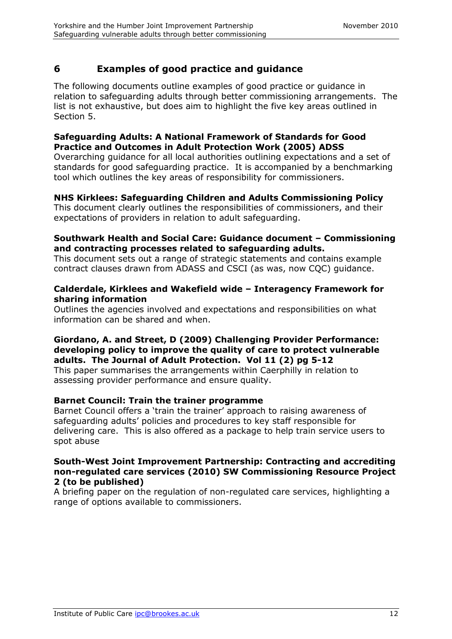## **6 Examples of good practice and guidance**

The following documents outline examples of good practice or guidance in relation to safeguarding adults through better commissioning arrangements. The list is not exhaustive, but does aim to highlight the five key areas outlined in Section 5.

#### **Safeguarding Adults: A National Framework of Standards for Good Practice and Outcomes in Adult Protection Work (2005) ADSS**

Overarching guidance for all local authorities outlining expectations and a set of standards for good safeguarding practice. It is accompanied by a benchmarking tool which outlines the key areas of responsibility for commissioners.

#### **NHS Kirklees: Safeguarding Children and Adults Commissioning Policy**

This document clearly outlines the responsibilities of commissioners, and their expectations of providers in relation to adult safeguarding.

#### **Southwark Health and Social Care: Guidance document – Commissioning and contracting processes related to safeguarding adults.**

This document sets out a range of strategic statements and contains example contract clauses drawn from ADASS and CSCI (as was, now CQC) guidance.

#### **Calderdale, Kirklees and Wakefield wide – Interagency Framework for sharing information**

Outlines the agencies involved and expectations and responsibilities on what information can be shared and when.

#### **Giordano, A. and Street, D (2009) Challenging Provider Performance: developing policy to improve the quality of care to protect vulnerable adults. The Journal of Adult Protection. Vol 11 (2) pg 5-12**

This paper summarises the arrangements within Caerphilly in relation to assessing provider performance and ensure quality.

#### **Barnet Council: Train the trainer programme**

Barnet Council offers a 'train the trainer' approach to raising awareness of safeguarding adults' policies and procedures to key staff responsible for delivering care. This is also offered as a package to help train service users to spot abuse

#### **South-West Joint Improvement Partnership: Contracting and accrediting non-regulated care services (2010) SW Commissioning Resource Project 2 (to be published)**

A briefing paper on the regulation of non-regulated care services, highlighting a range of options available to commissioners.